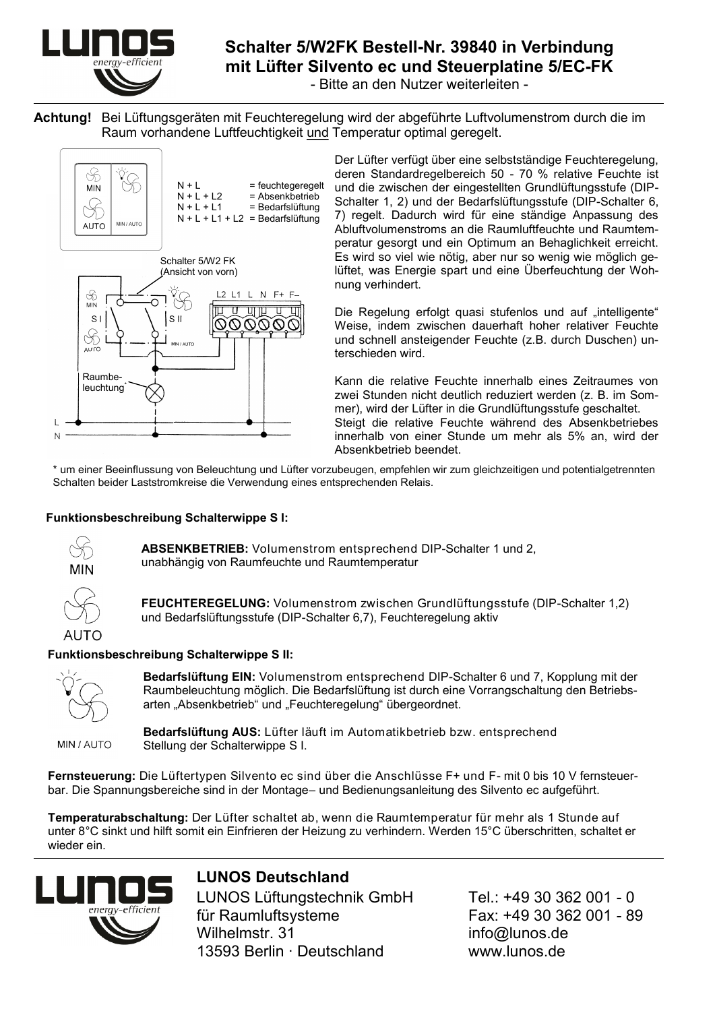

### **Schalter 5/W2FK Bestell-Nr. 39840 in Verbindung mit Lüfter Silvento ec und Steuerplatine 5/EC-FK**

- Bitte an den Nutzer weiterleiten -

**Achtung!** Bei Lüftungsgeräten mit Feuchteregelung wird der abgeführte Luftvolumenstrom durch die im Raum vorhandene Luftfeuchtigkeit und Temperatur optimal geregelt.



Der Lüfter verfügt über eine selbstständige Feuchteregelung, deren Standardregelbereich 50 - 70 % relative Feuchte ist und die zwischen der eingestellten Grundlüftungsstufe (DIP-Schalter 1, 2) und der Bedarfslüftungsstufe (DIP-Schalter 6, 7) regelt. Dadurch wird für eine ständige Anpassung des Abluftvolumenstroms an die Raumluftfeuchte und Raumtemperatur gesorgt und ein Optimum an Behaglichkeit erreicht. Es wird so viel wie nötig, aber nur so wenig wie möglich gelüftet, was Energie spart und eine Überfeuchtung der Wohnung verhindert.

Die Regelung erfolgt quasi stufenlos und auf "intelligente" Weise, indem zwischen dauerhaft hoher relativer Feuchte und schnell ansteigender Feuchte (z.B. durch Duschen) unterschieden wird.

Kann die relative Feuchte innerhalb eines Zeitraumes von zwei Stunden nicht deutlich reduziert werden (z. B. im Sommer), wird der Lüfter in die Grundlüftungsstufe geschaltet. Steigt die relative Feuchte während des Absenkbetriebes innerhalb von einer Stunde um mehr als 5% an, wird der Absenkbetrieb beendet.

\* um einer Beeinflussung von Beleuchtung und Lüfter vorzubeugen, empfehlen wir zum gleichzeitigen und potentialgetrennten Schalten beider Laststromkreise die Verwendung eines entsprechenden Relais.

#### **Funktionsbeschreibung Schalterwippe S I:**



**ABSENKBETRIEB:** Volumenstrom entsprechend DIP-Schalter 1 und 2, unabhängig von Raumfeuchte und Raumtemperatur



**FEUCHTEREGELUNG:** Volumenstrom zwischen Grundlüftungsstufe (DIP-Schalter 1,2) und Bedarfslüftungsstufe (DIP-Schalter 6,7), Feuchteregelung aktiv

#### **Funktionsbeschreibung Schalterwippe S II:**



**Bedarfslüftung EIN:** Volumenstrom entsprechend DIP-Schalter 6 und 7, Kopplung mit der Raumbeleuchtung möglich. Die Bedarfslüftung ist durch eine Vorrangschaltung den Betriebsarten "Absenkbetrieb" und "Feuchteregelung" übergeordnet.

MIN / AUTO

**Bedarfslüftung AUS:** Lüfter läuft im Automatikbetrieb bzw. entsprechend Stellung der Schalterwippe S I.

**Fernsteuerung:** Die Lüftertypen Silvento ec sind über die Anschlüsse F+ und F- mit 0 bis 10 V fernsteuerbar. Die Spannungsbereiche sind in der Montage– und Bedienungsanleitung des Silvento ec aufgeführt.

**Temperaturabschaltung:** Der Lüfter schaltet ab, wenn die Raumtemperatur für mehr als 1 Stunde auf unter 8°C sinkt und hilft somit ein Einfrieren der Heizung zu verhindern. Werden 15°C überschritten, schaltet er wieder ein.



## **LUNOS Deutschland** LUNOS Lüftungstechnik GmbH Tel.: +49 30 362 001 - 0

für Raumluftsysteme Fax: +49 30 362 001 - 89 Wilhelmstr. 31 info@lunos.de 13593 Berlin ∙ Deutschland www.lunos.de